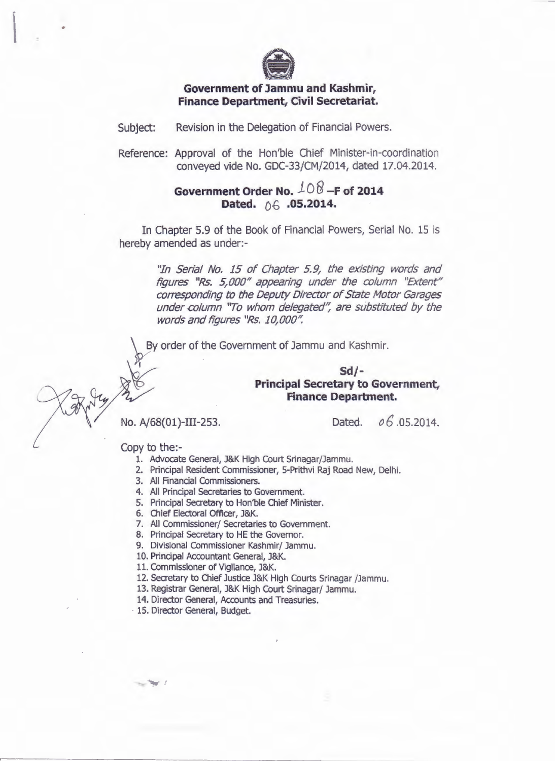

## **Government of Jammu and Kashmir, Finance Department, Civil Secretariat.**

Subject: Revision in the Delegation of Financial Powers.

Reference: Approval of the Hon'ble Chief Minister-in-coordination conveyed vide No. GDC-33/CM/2014, dated 17.04.2014.

## **Government Order No.** *10* 8 **-F of <sup>2014</sup>** Dated.  $\bigcirc$  6 .05.2014.

In Chapter 5.9 of the Book of Financial Powers, Serial No. 15 is hereby amended as under:-

> ''In Serial No. 15 of Chapter 5.9, the existing words and figures "Rs. 5,000" appearing under the column "Extent" corresponding to the Deputy Director of State Motor Garages under column "To whom delegated", are substituted by the words and figures "Rs. 10,000".

By order of the Government of Jammu and Kashmir.

## ~,..,,- **Sd/-** },,~- ~~ **Principal Secretary to Government,**  Finance Department.

No. A/68(01)-III-253. Dated. *0 6* .05.2014.

Copy to the:-

- 1. Advocate General, J&K High Court Srinagar/Jammu.
- 2. Principal Resident Commissioner, 5-Prithvi Raj Road New, Delhi.
- 3. All Financial Commissioners.
- 4. All Principal Secretaries to Government.
- 5. Principal Secretary to Hon'ble Chief Minister.
- 6. Chief Electoral Officer, J&K.
- 7. All Commissioner/ Secretaries to Government.
- 8. Principal Secretary to HE the Governor.
- 9. Divisional Commissioner Kashmir/ Jammu.
- 10. Principal Accountant General, J&K.
- 11. Commissioner of Vigilance, J&K.
- 12. Secretary to Chief Justice J&K High Courts Srinagar /Jammu.
- 13. Registrar General, J&K High Court Srinagar/ Jammu.
- 14. Director General, Accounts and Treasuries.
- 15. Director General, Budget.